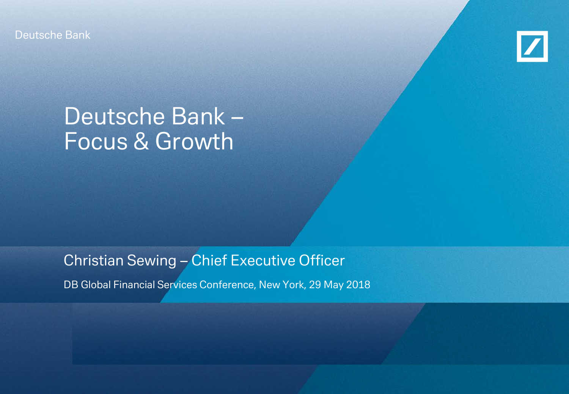Deutsche Bank



# Deutsche Bank – Focus & Growth

Christian Sewing – Chief Executive Officer

DB Global Financial Services Conference, New York, 29 May 2018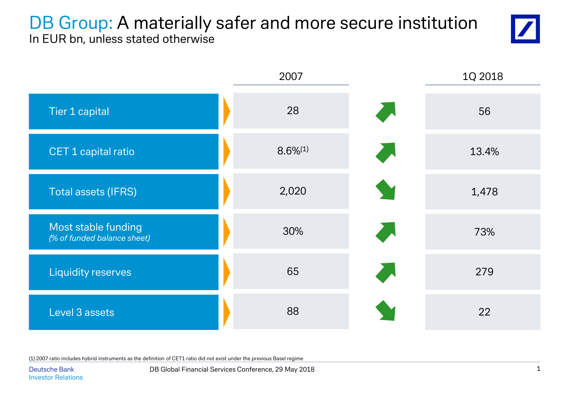## DB Group: A materially safer and more secure institution In EUR bn, unless stated otherwise





(1) 2007 ratio includes hybrid instruments as the definition of CET1 ratio did not exist under the previous Basel regime

Deutsche Bank DB Global Financial Services Conference, 29 May 2018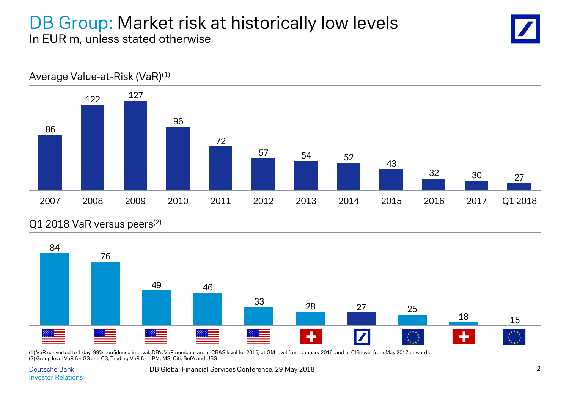## DB Group: Market risk at historically low levels In EUR m, unless stated otherwise





#### Q1 2018 VaR versus peers<sup>(2)</sup>



(1) VaR converted to 1 day, 99% confidence interval. DB's VaR numbers are at CB&S level for 2015, at GM level from January 2016, and at CIB level from May 2017 onwards (2) Group level VaR for GS and CS; Trading VaR for JPM, MS, Citi, BofA and UBS

Deutsche Bank DB Global Financial Services Conference, 29 May 2018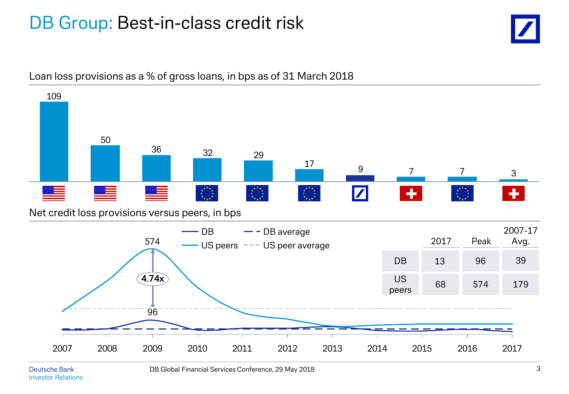## DB Group: Best-in-class credit risk





#### Loan loss provisions as a % of gross loans, in bps as of 31 March 2018

Investor Relations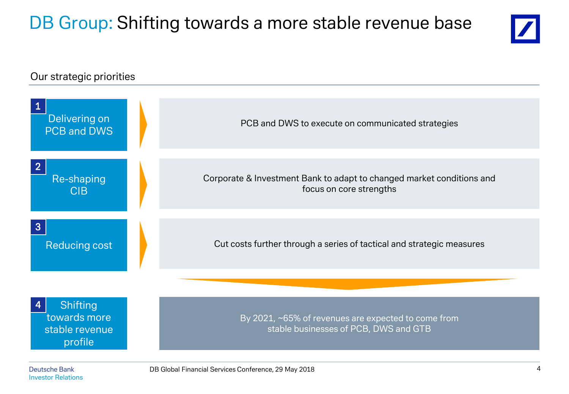# DB Group: Shifting towards a more stable revenue base



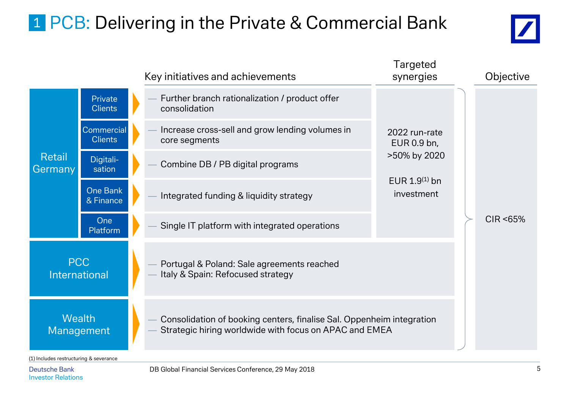# 1 PCB: Delivering in the Private & Commercial Bank



|                             |                                     | Key initiatives and achievements                                                                                                | Targeted<br>synergies                            |  | Objective |
|-----------------------------|-------------------------------------|---------------------------------------------------------------------------------------------------------------------------------|--------------------------------------------------|--|-----------|
|                             | Private<br><b>Clients</b>           | Further branch rationalization / product offer<br>consolidation                                                                 |                                                  |  |           |
|                             | <b>Commercial</b><br><b>Clients</b> | Increase cross-sell and grow lending volumes in<br>core segments                                                                | 2022 run-rate<br>EUR 0.9 bn,                     |  |           |
| <b>Retail</b><br>Germany    | Digitali-<br>sation                 | Combine DB / PB digital programs                                                                                                | >50% by 2020<br>EUR $1.9^{(1)}$ bn<br>investment |  |           |
|                             | <b>One Bank</b><br>& Finance        | Integrated funding & liquidity strategy                                                                                         |                                                  |  |           |
|                             | One<br>Platform                     | Single IT platform with integrated operations                                                                                   |                                                  |  | CIR <65%  |
| <b>PCC</b><br>International |                                     | Portugal & Poland: Sale agreements reached<br>Italy & Spain: Refocused strategy                                                 |                                                  |  |           |
| <b>Wealth</b><br>Management |                                     | Consolidation of booking centers, finalise Sal. Oppenheim integration<br>Strategic hiring worldwide with focus on APAC and EMEA |                                                  |  |           |

(1) Includes restructuring & severance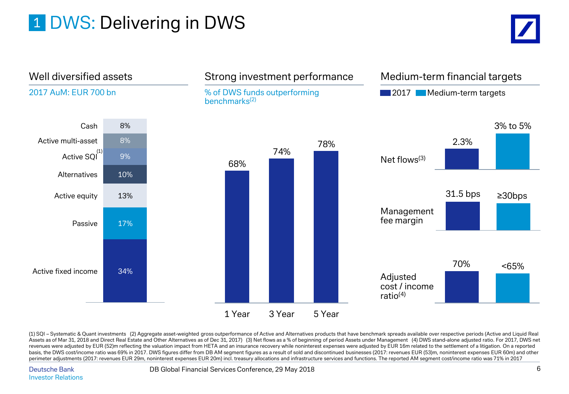# 1 DWS: Delivering in DWS





(1) SQI – Systematic & Quant investments (2) Aggregate asset-weighted gross outperformance of Active and Alternatives products that have benchmark spreads available over respective periods (Active and Liquid Real Assets as of Mar 31, 2018 and Direct Real Estate and Other Alternatives as of Dec 31, 2017) (3) Net flows as a % of beginning of period Assets under Management (4) DWS stand-alone adjusted ratio. For 2017, DWS net revenues were adjusted by EUR (52)m reflecting the valuation impact from HETA and an insurance recovery while noninterest expenses were adjusted by EUR 16m related to the settlement of a litigation. On a reported basis, the DWS cost/income ratio was 69% in 2017. DWS figures differ from DB AM segment figures as a result of sold and discontinued businesses (2017: revenues EUR (53)m, noninterest expenses EUR 60m) and other perimeter adjustments (2017: revenues EUR 29m, noninterest expenses EUR 20m) incl. treasury allocations and infrastructure services and functions. The reported AM segment cost/income ratio was 71% in 2017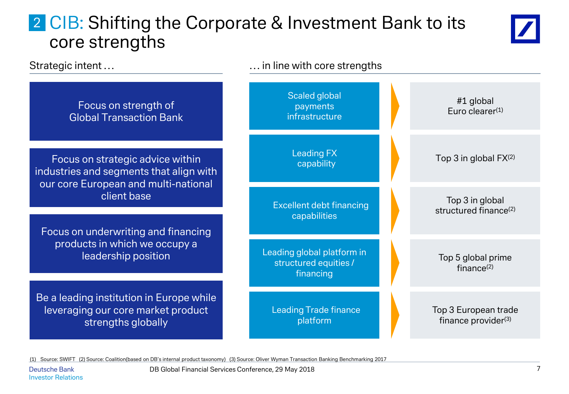## 2 CIB: Shifting the Corporate & Investment Bank to its core strengths



Scaled global payments infrastructure #1 global Euro clearer(1) Leading FX  $\begin{array}{ccc} \text{c} & \text{c} & \text{c} \\ \text{c} & \text{c} & \text{c} \end{array}$  Top 3 in global FX<sup>(2)</sup> Excellent debt financing capabilities Top 3 in global structured finance<sup>(2)</sup> Leading global platform in structured equities / financing Top 5 global prime finance $(2)$ Leading Trade finance platform Top 3 European trade finance provider $(3)$ Strategic intent ... Strategic intent ... Focus on strategic advice within industries and segments that align with our core European and multi-national client base Focus on underwriting and financing products in which we occupy a leadership position Be a leading institution in Europe while leveraging our core market product strengths globally Focus on strength of Global Transaction Bank

(1) Source: SWIFT (2) Source: Coalition(based on DB's internal product taxonomy) (3) Source: Oliver Wyman Transaction Banking Benchmarking 2017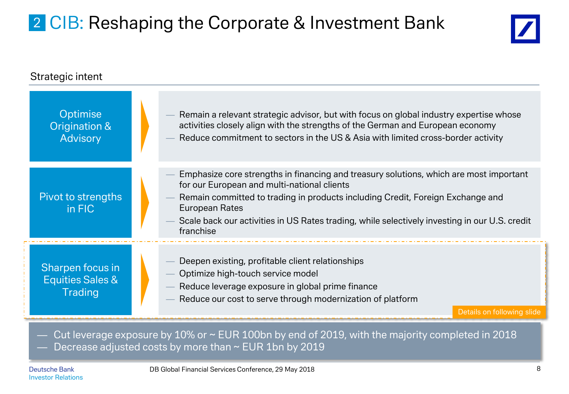# 2 CIB: Reshaping the Corporate & Investment Bank



| Strategic intent                                                  |                                                                                                                                                                                                                                                                                                                                                         |  |  |  |  |
|-------------------------------------------------------------------|---------------------------------------------------------------------------------------------------------------------------------------------------------------------------------------------------------------------------------------------------------------------------------------------------------------------------------------------------------|--|--|--|--|
| Optimise<br>Origination &<br><b>Advisory</b>                      | Remain a relevant strategic advisor, but with focus on global industry expertise whose<br>activities closely align with the strengths of the German and European economy<br>Reduce commitment to sectors in the US & Asia with limited cross-border activity                                                                                            |  |  |  |  |
| Pivot to strengths<br>in FIC                                      | Emphasize core strengths in financing and treasury solutions, which are most important<br>for our European and multi-national clients<br>Remain committed to trading in products including Credit, Foreign Exchange and<br>European Rates<br>Scale back our activities in US Rates trading, while selectively investing in our U.S. credit<br>franchise |  |  |  |  |
| Sharpen focus in<br><b>Equities Sales &amp;</b><br><b>Trading</b> | Deepen existing, profitable client relationships<br>Optimize high-touch service model<br>Reduce leverage exposure in global prime finance<br>Reduce our cost to serve through modernization of platform<br>Details on following slide                                                                                                                   |  |  |  |  |

Cut leverage exposure by 10% or ~ EUR 100bn by end of 2019, with the majority completed in 2018 Decrease adjusted costs by more than  $\sim$  EUR 1bn by 2019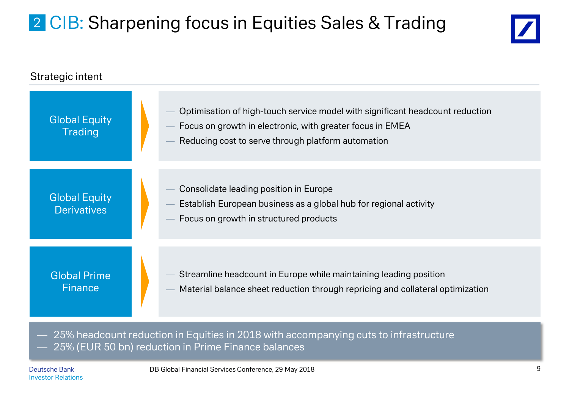# 2 CIB: Sharpening focus in Equities Sales & Trading





— 25% headcount reduction in Equities in 2018 with accompanying cuts to infrastructure — 25% (EUR 50 bn) reduction in Prime Finance balances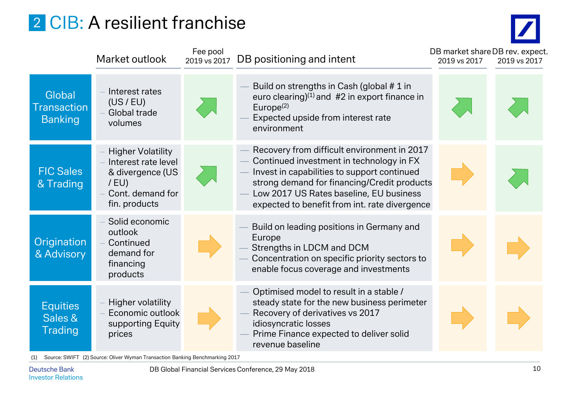# 2 CIB: A resilient franchise

DB market share DB rev. expect.

|                                                | Market outlook                                                                                                      | Fee pool<br>2019 vs 2017 | DB positioning and intent                                                                                                                                                                                                                                                         | DB market share DB rev. exped<br>2019 vs 2017 | 2019 vs 2017 |
|------------------------------------------------|---------------------------------------------------------------------------------------------------------------------|--------------------------|-----------------------------------------------------------------------------------------------------------------------------------------------------------------------------------------------------------------------------------------------------------------------------------|-----------------------------------------------|--------------|
| Global<br><b>Transaction</b><br><b>Banking</b> | Interest rates<br>(US/EU)<br>Global trade<br>volumes                                                                |                          | Build on strengths in Cash (global # 1 in<br>euro clearing) $(1)$ and #2 in export finance in<br>Europe $(2)$<br>Expected upside from interest rate<br>environment                                                                                                                |                                               |              |
| <b>FIC Sales</b><br>& Trading                  | <b>Higher Volatility</b><br>Interest rate level<br>& divergence (US<br>$/$ EU)<br>Cont. demand for<br>fin. products |                          | Recovery from difficult environment in 2017<br>Continued investment in technology in FX<br>Invest in capabilities to support continued<br>strong demand for financing/Credit products<br>Low 2017 US Rates baseline, EU business<br>expected to benefit from int. rate divergence |                                               |              |
| Origination<br>& Advisory                      | Solid economic<br>outlook<br>Continued<br>demand for<br>financing<br>products                                       |                          | Build on leading positions in Germany and<br>Europe<br>Strengths in LDCM and DCM<br>Concentration on specific priority sectors to<br>enable focus coverage and investments                                                                                                        |                                               |              |
| <b>Equities</b><br>Sales &<br><b>Trading</b>   | Higher volatility<br>Economic outlook<br>supporting Equity<br>prices                                                |                          | Optimised model to result in a stable /<br>steady state for the new business perimeter<br>Recovery of derivatives vs 2017<br>idiosyncratic losses<br>Prime Finance expected to deliver solid<br>revenue baseline                                                                  |                                               |              |

(1) Source: SWIFT (2) Source: Oliver Wyman Transaction Banking Benchmarking 2017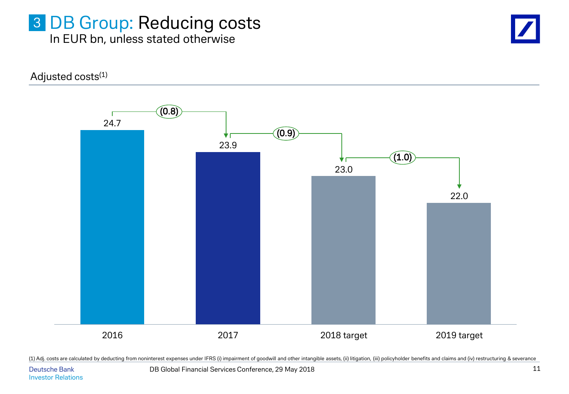#### 3 DB Group: Reducing costs In EUR bn, unless stated otherwise

Adjusted costs<sup>(1)</sup>



(1) Adj. costs are calculated by deducting from noninterest expenses under IFRS (i) impairment of goodwill and other intangible assets, (ii) litigation, (iii) policyholder benefits and claims and (iv) restructuring & sever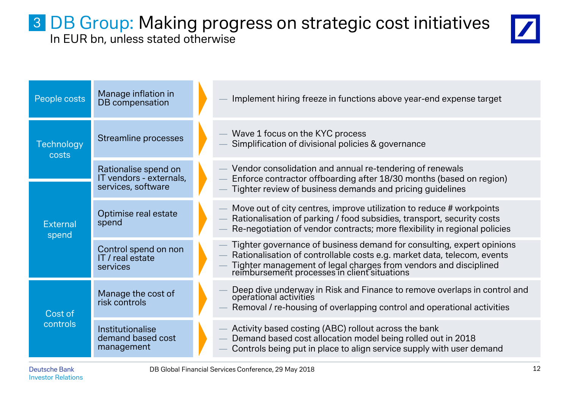### 3 DB Group: Making progress on strategic cost initiatives In EUR bn, unless stated otherwise



| People costs             | Manage inflation in<br>DB compensation                                |  | Implement hiring freeze in functions above year-end expense target                                                                                                                                                                                                   |
|--------------------------|-----------------------------------------------------------------------|--|----------------------------------------------------------------------------------------------------------------------------------------------------------------------------------------------------------------------------------------------------------------------|
| Technology<br>costs      | <b>Streamline processes</b>                                           |  | Wave 1 focus on the KYC process<br>Simplification of divisional policies & governance                                                                                                                                                                                |
|                          | Rationalise spend on<br>IT vendors - externals,<br>services, software |  | Vendor consolidation and annual re-tendering of renewals<br>Enforce contractor offboarding after 18/30 months (based on region)<br>Tighter review of business demands and pricing guidelines                                                                         |
| <b>External</b><br>spend | Optimise real estate<br>spend                                         |  | Move out of city centres, improve utilization to reduce # workpoints<br>Rationalisation of parking / food subsidies, transport, security costs<br>Re-negotiation of vendor contracts; more flexibility in regional policies                                          |
|                          | Control spend on non<br>IT / real estate<br>services                  |  | Tighter governance of business demand for consulting, expert opinions<br>Rationalisation of controllable costs e.g. market data, telecom, events<br>Tighter management of legal charges from vendors and disciplined<br>reimbursement processes in client situations |
| Cost of                  | Manage the cost of<br>risk controls                                   |  | Deep dive underway in Risk and Finance to remove overlaps in control and operational activities<br>Removal / re-housing of overlapping control and operational activities                                                                                            |
| controls                 | Institutionalise<br>demand based cost<br>management                   |  | Activity based costing (ABC) rollout across the bank<br>Demand based cost allocation model being rolled out in 2018<br>Controls being put in place to align service supply with user demand                                                                          |

Investor Relations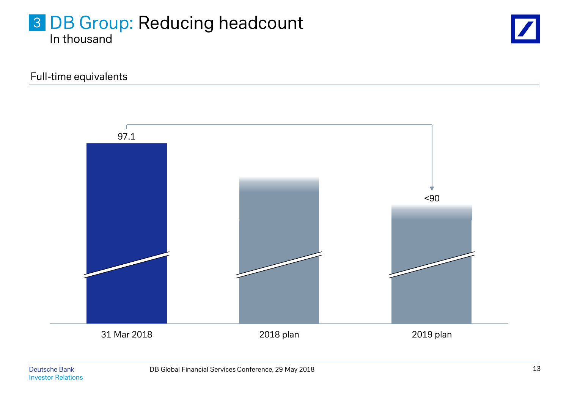## 3 DB Group: Reducing headcount In thousand



Full-time equivalents

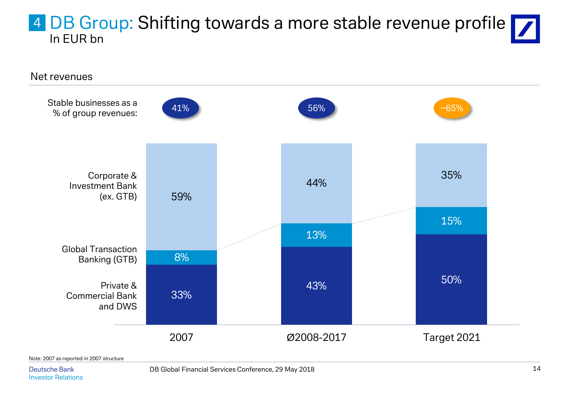## 4 DB Group: Shifting towards a more stable revenue profile In EUR bn



Note: 2007 as reported in 2007 structure